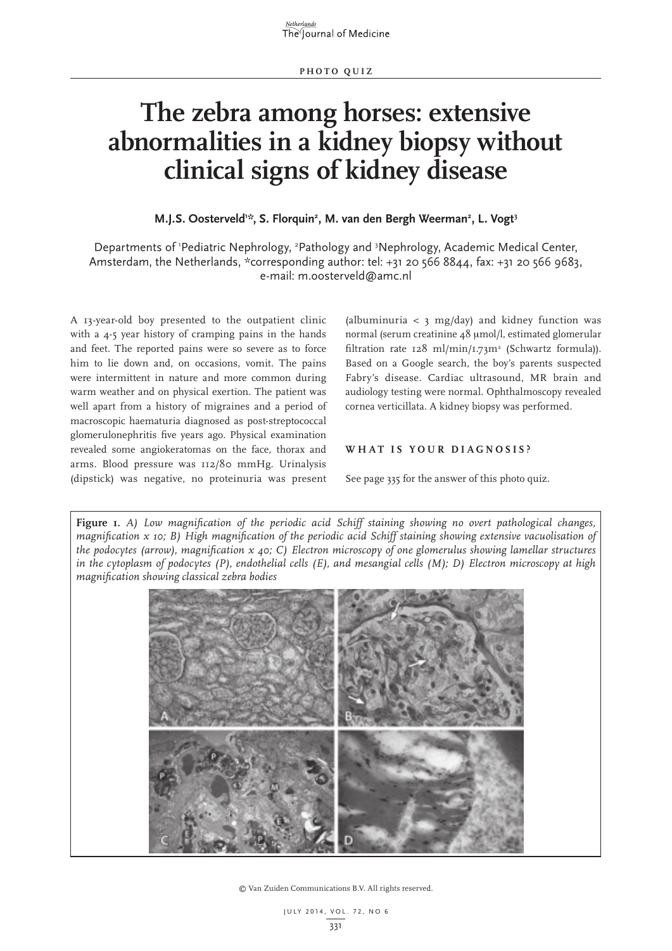# **The zebra among horses: extensive abnormalities in a kidney biopsy without clinical signs of kidney disease**

## M.J.S. Oosterveld<sup>1:</sup>\*, S. Florquin<sup>2</sup>, M. van den Bergh Weerman<sup>2</sup>, L. Vogt<sup>3</sup>

Departments of 'Pediatric Nephrology, <sup>2</sup>Pathology and <sup>3</sup>Nephrology, Academic Medical Center, Amsterdam, the Netherlands, \*corresponding author: tel: +31 20 566 8844, fax: +31 20 566 9683, e-mail: m.oosterveld@amc.nl

A 13-year-old boy presented to the outpatient clinic with a 4-5 year history of cramping pains in the hands and feet. The reported pains were so severe as to force him to lie down and, on occasions, vomit. The pains were intermittent in nature and more common during warm weather and on physical exertion. The patient was well apart from a history of migraines and a period of macroscopic haematuria diagnosed as post-streptococcal glomerulonephritis five years ago. Physical examination revealed some angiokeratomas on the face, thorax and arms. Blood pressure was 112/80 mmHg. Urinalysis (dipstick) was negative, no proteinuria was present

(albuminuria  $\langle$  3 mg/day) and kidney function was normal (serum creatinine 48 µmol/l, estimated glomerular filtration rate  $128 \text{ ml/min}/1.73 \text{ m}^2$  (Schwartz formula)). Based on a Google search, the boy's parents suspected Fabry's disease. Cardiac ultrasound, MR brain and audiology testing were normal. Ophthalmoscopy revealed cornea verticillata. A kidney biopsy was performed.

# **WHAT IS YOUR DIAGNOSIS?**

See page 335 for the answer of this photo quiz.

**Figure 1.** *A) Low magnification of the periodic acid Schiff staining showing no overt pathological changes, magnification x 10; B) High magnification of the periodic acid Schiff staining showing extensive vacuolisation of the podocytes (arrow), magnification x 40; C) Electron microscopy of one glomerulus showing lamellar structures in the cytoplasm of podocytes (P), endothelial cells (E), and mesangial cells (M); D) Electron microscopy at high magnification showing classical zebra bodies*



© Van Zuiden Communications B.V. All rights reserved.